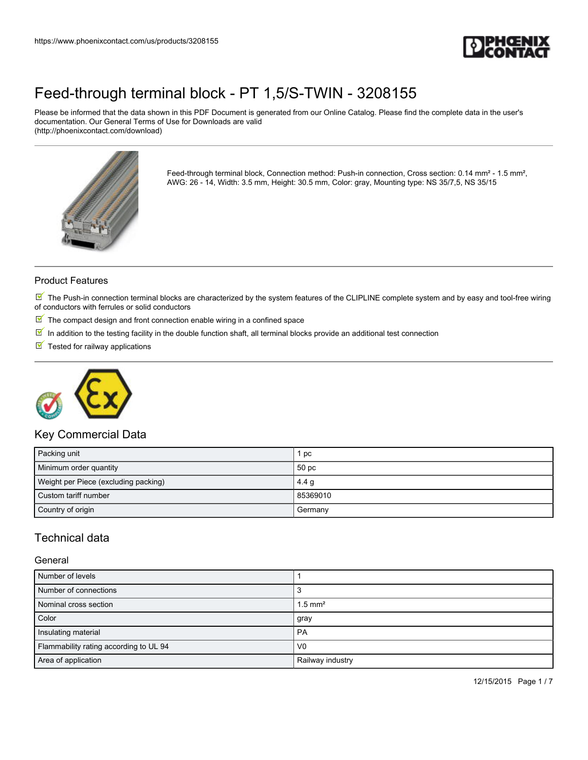

Please be informed that the data shown in this PDF Document is generated from our Online Catalog. Please find the complete data in the user's documentation. Our General Terms of Use for Downloads are valid (http://phoenixcontact.com/download)



Feed-through terminal block, Connection method: Push-in connection, Cross section: 0.14 mm<sup>2</sup> - 1.5 mm<sup>2</sup>, AWG: 26 - 14, Width: 3.5 mm, Height: 30.5 mm, Color: gray, Mounting type: NS 35/7,5, NS 35/15

#### Product Features

 $\mathbb N$  The Push-in connection terminal blocks are characterized by the system features of the CLIPLINE complete system and by easy and tool-free wiring of conductors with ferrules or solid conductors

- $\mathbb F$  The compact design and front connection enable wiring in a confined space
- $\overline{\mathbb{M}}$  In addition to the testing facility in the double function shaft, all terminal blocks provide an additional test connection
- $\blacksquare$  Tested for railway applications



### Key Commercial Data

| Packing unit                         | 1 pc             |
|--------------------------------------|------------------|
| Minimum order quantity               | 50 pc            |
| Weight per Piece (excluding packing) | 4.4 <sub>g</sub> |
| Custom tariff number                 | 85369010         |
| Country of origin                    | Germany          |

### Technical data

#### General

| Number of levels                       |                       |
|----------------------------------------|-----------------------|
| Number of connections                  |                       |
| Nominal cross section                  | $1.5$ mm <sup>2</sup> |
| Color                                  | gray                  |
| Insulating material                    | <b>PA</b>             |
| Flammability rating according to UL 94 | V <sub>0</sub>        |
| Area of application                    | Railway industry      |

12/15/2015 Page 1 / 7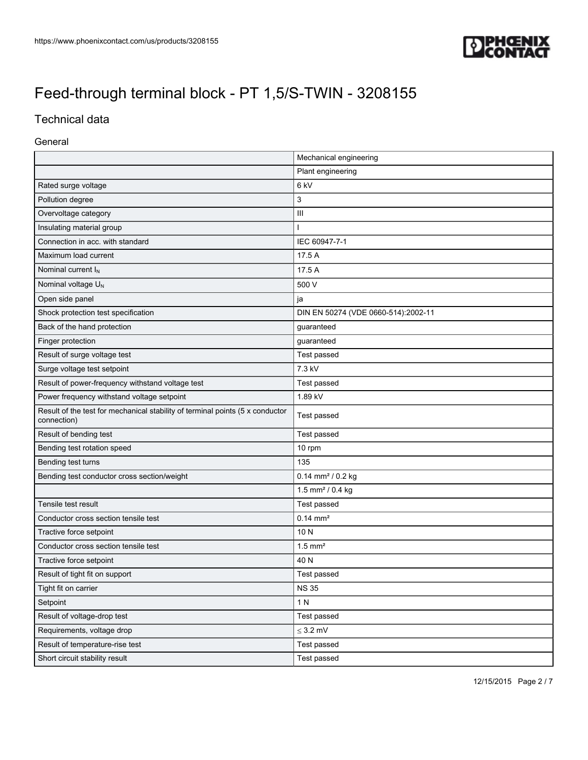

## Technical data

#### General

|                                                                                              | Mechanical engineering              |
|----------------------------------------------------------------------------------------------|-------------------------------------|
|                                                                                              | Plant engineering                   |
| Rated surge voltage                                                                          | 6 kV                                |
| Pollution degree                                                                             | 3                                   |
| Overvoltage category                                                                         | $\mathbf{III}$                      |
| Insulating material group                                                                    |                                     |
| Connection in acc. with standard                                                             | IEC 60947-7-1                       |
| Maximum load current                                                                         | 17.5 A                              |
| Nominal current I <sub>N</sub>                                                               | 17.5 A                              |
| Nominal voltage $U_N$                                                                        | 500 V                               |
| Open side panel                                                                              | ja                                  |
| Shock protection test specification                                                          | DIN EN 50274 (VDE 0660-514):2002-11 |
| Back of the hand protection                                                                  | guaranteed                          |
| Finger protection                                                                            | guaranteed                          |
| Result of surge voltage test                                                                 | Test passed                         |
| Surge voltage test setpoint                                                                  | 7.3 kV                              |
| Result of power-frequency withstand voltage test                                             | Test passed                         |
| Power frequency withstand voltage setpoint                                                   | 1.89 kV                             |
| Result of the test for mechanical stability of terminal points (5 x conductor<br>connection) | Test passed                         |
| Result of bending test                                                                       | Test passed                         |
| Bending test rotation speed                                                                  | 10 rpm                              |
| Bending test turns                                                                           | 135                                 |
| Bending test conductor cross section/weight                                                  | $0.14$ mm <sup>2</sup> / 0.2 kg     |
|                                                                                              | 1.5 mm <sup>2</sup> / 0.4 kg        |
| Tensile test result                                                                          | Test passed                         |
| Conductor cross section tensile test                                                         | $0.14$ mm <sup>2</sup>              |
| Tractive force setpoint                                                                      | 10N                                 |
| Conductor cross section tensile test                                                         | $1.5$ mm <sup>2</sup>               |
| Tractive force setpoint                                                                      | 40 N                                |
| Result of tight fit on support                                                               | Test passed                         |
| Tight fit on carrier                                                                         | <b>NS 35</b>                        |
| Setpoint                                                                                     | 1 N                                 |
| Result of voltage-drop test                                                                  | Test passed                         |
| Requirements, voltage drop                                                                   | $\leq 3.2~\text{mV}$                |
| Result of temperature-rise test                                                              | Test passed                         |
| Short circuit stability result                                                               | Test passed                         |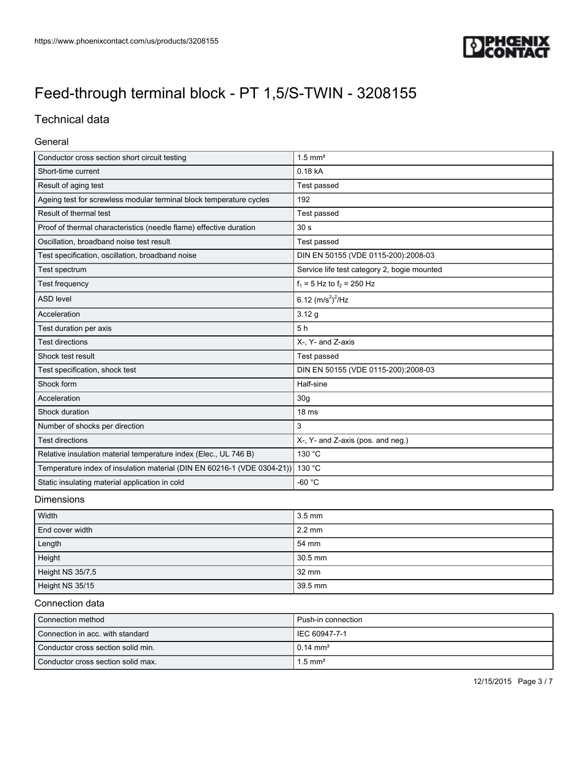

## Technical data

#### General

| Conductor cross section short circuit testing                           | $1.5$ mm <sup>2</sup>                       |
|-------------------------------------------------------------------------|---------------------------------------------|
| Short-time current                                                      | 0.18 kA                                     |
| Result of aging test                                                    | Test passed                                 |
| Ageing test for screwless modular terminal block temperature cycles     | 192                                         |
| Result of thermal test                                                  | Test passed                                 |
| Proof of thermal characteristics (needle flame) effective duration      | 30 <sub>s</sub>                             |
| Oscillation, broadband noise test result                                | Test passed                                 |
| Test specification, oscillation, broadband noise                        | DIN EN 50155 (VDE 0115-200):2008-03         |
| Test spectrum                                                           | Service life test category 2, bogie mounted |
| Test frequency                                                          | $f_1 = 5$ Hz to $f_2 = 250$ Hz              |
| <b>ASD level</b>                                                        | 6.12 $(m/s^2)^2$ /Hz                        |
| Acceleration                                                            | 3.12g                                       |
| Test duration per axis                                                  | 5h                                          |
| <b>Test directions</b>                                                  | X-, Y- and Z-axis                           |
| Shock test result                                                       | Test passed                                 |
| Test specification, shock test                                          | DIN EN 50155 (VDE 0115-200):2008-03         |
| Shock form                                                              | Half-sine                                   |
| Acceleration                                                            | 30 <sub>g</sub>                             |
| Shock duration                                                          | 18 <sub>ms</sub>                            |
| Number of shocks per direction                                          | 3                                           |
| <b>Test directions</b>                                                  | X-, Y- and Z-axis (pos. and neg.)           |
| Relative insulation material temperature index (Elec., UL 746 B)        | 130 °C                                      |
| Temperature index of insulation material (DIN EN 60216-1 (VDE 0304-21)) | 130 °C                                      |
| Static insulating material application in cold                          | $-60 °C$                                    |

#### Dimensions

| Width            | $3.5 \text{ mm}$ |
|------------------|------------------|
| End cover width  | $2.2 \text{ mm}$ |
| Length           | 54 mm            |
| Height           | 30.5 mm          |
| Height NS 35/7,5 | $32 \text{ mm}$  |
| Height NS 35/15  | 39.5 mm          |

### Connection data

| Connection method                  | l Push-in connection  |
|------------------------------------|-----------------------|
| Connection in acc. with standard   | I IEC 60947-7-1       |
| Conductor cross section solid min. | $10.14 \text{ mm}^2$  |
| Conductor cross section solid max. | $1.5$ mm <sup>2</sup> |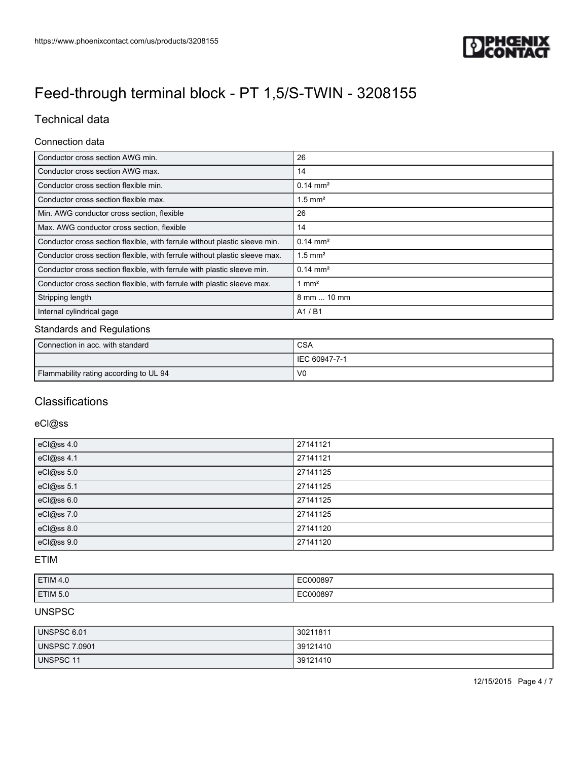

## Technical data

#### Connection data

| Conductor cross section AWG min.                                           | 26                    |
|----------------------------------------------------------------------------|-----------------------|
| Conductor cross section AWG max.                                           | 14                    |
| Conductor cross section flexible min.                                      | $0.14 \text{ mm}^2$   |
| Conductor cross section flexible max.                                      | $1.5$ mm <sup>2</sup> |
| Min. AWG conductor cross section, flexible                                 | 26                    |
| Max. AWG conductor cross section, flexible                                 | 14                    |
| Conductor cross section flexible, with ferrule without plastic sleeve min. | $0.14 \text{ mm}^2$   |
| Conductor cross section flexible, with ferrule without plastic sleeve max. | $1.5$ mm <sup>2</sup> |
| Conductor cross section flexible, with ferrule with plastic sleeve min.    | $0.14 \text{ mm}^2$   |
| Conductor cross section flexible, with ferrule with plastic sleeve max.    | $1 \text{ mm}^2$      |
| Stripping length                                                           | 8 mm  10 mm           |
| Internal cylindrical gage                                                  | A1/B1                 |

#### Standards and Regulations

| Connection in acc. with standard       | <b>CSA</b>     |
|----------------------------------------|----------------|
|                                        | IEC 60947-7-1  |
| Flammability rating according to UL 94 | V <sub>0</sub> |

### **Classifications**

#### eCl@ss

| eCl@ss 4.0 | 27141121 |
|------------|----------|
| eCl@ss 4.1 | 27141121 |
| eCl@ss 5.0 | 27141125 |
| eCl@ss 5.1 | 27141125 |
| eCl@ss 6.0 | 27141125 |
| eCl@ss 7.0 | 27141125 |
| eCl@ss 8.0 | 27141120 |
| eCl@ss 9.0 | 27141120 |

#### ETIM

| ETIM 4.0 | EC000897 |
|----------|----------|
| ETIM 5.0 | EC000897 |

#### UNSPSC

| UNSPSC 6.01          | 30211811 |
|----------------------|----------|
| <b>UNSPSC 7.0901</b> | 39121410 |
| UNSPSC 11            | 39121410 |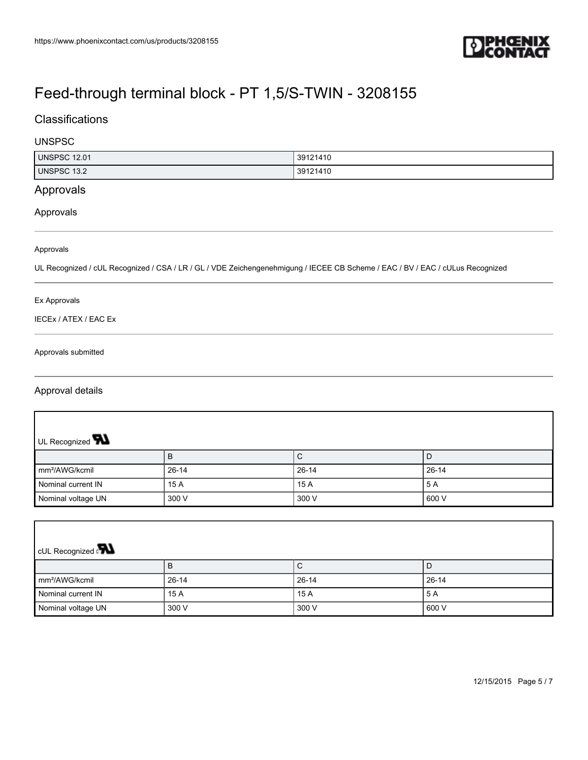

### **Classifications**

#### UNSPSC

| I UNSPSC<br>12.01     | 39121410 |
|-----------------------|----------|
| <b>UNSPSC</b><br>13.2 | 39121410 |

### Approvals

#### Approvals

#### Approvals

UL Recognized / cUL Recognized / CSA / LR / GL / VDE Zeichengenehmigung / IECEE CB Scheme / EAC / BV / EAC / cULus Recognized

#### Ex Approvals

IECEx / ATEX / EAC Ex

#### Approvals submitted

#### Approval details

 $\overline{\phantom{a}}$ 

| UL Recognized <b>W</b>     |           |           |       |  |
|----------------------------|-----------|-----------|-------|--|
|                            | B         | C         | D     |  |
| mm <sup>2</sup> /AWG/kcmil | $26 - 14$ | $26 - 14$ | 26-14 |  |
| Nominal current IN         | 15 A      | 15 A      | 5 A   |  |
| Nominal voltage UN         | 300 V     | 300 V     | 600 V |  |
|                            |           |           |       |  |

| <b>CUL Recognized</b>      |           |           |       |  |  |
|----------------------------|-----------|-----------|-------|--|--|
|                            | B         | ◡         | ◡     |  |  |
| mm <sup>2</sup> /AWG/kcmil | $26 - 14$ | $26 - 14$ | 26-14 |  |  |
| Nominal current IN         | 15 A      | 15 A      | 5 A   |  |  |
| Nominal voltage UN         | 300 V     | 300 V     | 600 V |  |  |

 $\overline{\phantom{a}}$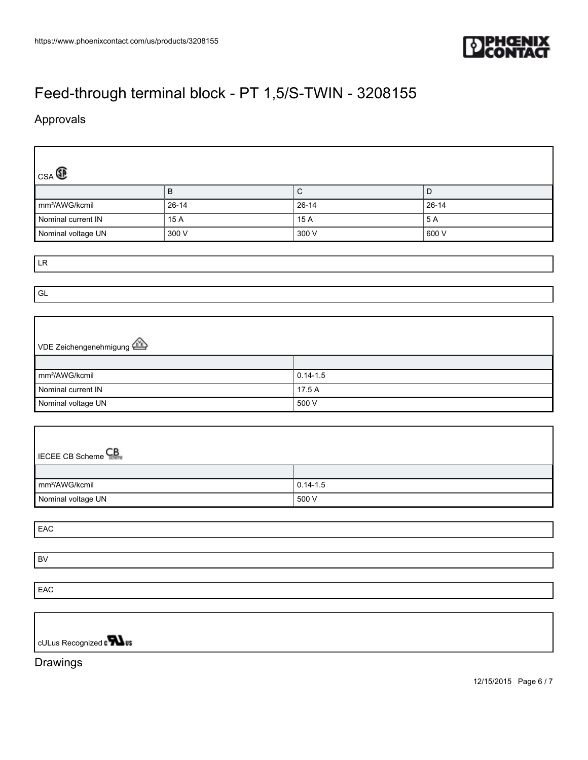

## Approvals

 $\lceil$ 

| CSA                                                  |           |                       |              |  |  |
|------------------------------------------------------|-----------|-----------------------|--------------|--|--|
|                                                      | $\sf B$   | $\overline{\text{C}}$ | $\mathsf D$  |  |  |
| mm <sup>2</sup> /AWG/kcmil                           | $26 - 14$ | $26 - 14$             | $26 - 14$    |  |  |
| Nominal current IN                                   | 15 A      | 15 A                  | 5A           |  |  |
| Nominal voltage UN                                   | 300 V     | 300 V                 | 600 V        |  |  |
|                                                      |           |                       |              |  |  |
| ${\sf LR}$                                           |           |                       |              |  |  |
|                                                      |           |                       |              |  |  |
| $\mathsf{GL}% _{k}(G,\mathbb{R})$                    |           |                       |              |  |  |
|                                                      |           |                       |              |  |  |
|                                                      |           |                       |              |  |  |
| VDE Zeichengenehmigung                               |           |                       |              |  |  |
|                                                      |           |                       |              |  |  |
| mm <sup>2</sup> /AWG/kcmil                           |           | $0.14 - 1.5$          |              |  |  |
| Nominal current IN                                   |           | 17.5 A                |              |  |  |
| Nominal voltage UN                                   |           | 500 V                 |              |  |  |
|                                                      |           |                       |              |  |  |
|                                                      |           |                       |              |  |  |
|                                                      |           |                       |              |  |  |
| <b>IECEE CB Scheme</b>                               |           |                       |              |  |  |
|                                                      |           |                       |              |  |  |
| mm <sup>2</sup> /AWG/kcmil                           |           |                       | $0.14 - 1.5$ |  |  |
| Nominal voltage UN                                   |           | 500 V                 |              |  |  |
|                                                      |           |                       |              |  |  |
| EAC                                                  |           |                       |              |  |  |
|                                                      |           |                       |              |  |  |
| BV                                                   |           |                       |              |  |  |
|                                                      |           |                       |              |  |  |
| EAC                                                  |           |                       |              |  |  |
|                                                      |           |                       |              |  |  |
|                                                      |           |                       |              |  |  |
| cULus Recognized $\sqrt{\phantom{a}}\blacksquare$ us |           |                       |              |  |  |
| Drawings                                             |           |                       |              |  |  |